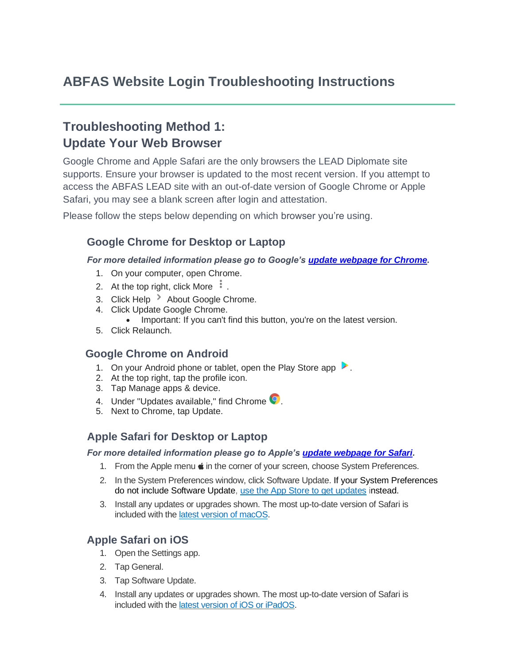# **ABFAS Website Login Troubleshooting Instructions**

# **Troubleshooting Method 1: Update Your Web Browser**

Google Chrome and Apple Safari are the only browsers the LEAD Diplomate site supports. Ensure your browser is updated to the most recent version. If you attempt to access the ABFAS LEAD site with an out-of-date version of Google Chrome or Apple Safari, you may see a blank screen after login and attestation.

Please follow the steps below depending on which browser you're using.

### **Google Chrome for Desktop or Laptop**

#### *For more detailed information please go to Google's [update webpage for Chrome.](https://support.google.com/chrome/answer/95414?hl=en&co=GENIE.Platform%3DDesktop&oco=1)*

- 1. On your computer, open Chrome.
- 2. At the top right, click More  $\frac{1}{2}$ .
- 3. Click Help  $\rightarrow$  About Google Chrome.
- 4. Click Update Google Chrome.
	- Important: If you can't find this button, you're on the latest version.
- 5. Click Relaunch.

#### **Google Chrome on Android**

- 1. On your Android phone or tablet, open the Play Store app
- 2. At the top right, tap the profile icon.
- 3. Tap Manage apps & device.
- 4. Under "Updates available," find Chrome  $\bullet$ .
- 5. Next to Chrome, tap Update.

#### **Apple Safari for Desktop or Laptop**

*For more detailed information please go to Apple's [update webpage for Safari.](https://support.apple.com/en-us/HT204416)* 

- 1. From the Apple menu  $\bullet$  in the corner of your screen, choose System Preferences.
- 2. In the System Preferences window, click Software Update. If your System Preferences do not include Software Update, [use the App Store to get updates](https://support.apple.com/kb/HT202180) instead.
- 3. Install any updates or upgrades shown. The most up-to-date version of Safari is included with the [latest version of macOS.](https://support.apple.com/kb/HT201260)

### **Apple Safari on iOS**

- 1. Open the Settings app.
- 2. Tap General.
- 3. Tap Software Update.
- 4. Install any updates or upgrades shown. The most up-to-date version of Safari is included with the [latest version of iOS or iPadOS.](https://support.apple.com/kb/HT201222#update)